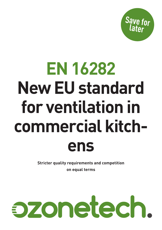**Save for later**

# **EN 16282 New EU standard for ventilation in commercial kitchens**

**Stricter quality requirements and competition on equal terms**

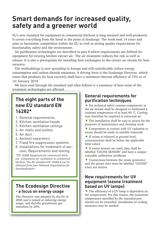## **Smart demands for increased quality, safety and a greener world**

EU's new standard for equipment in commercial kitchens is long-awaited and well-produced. It covers everything from the hood to the point of discharge. The work took 14 years and aims to harmonise competition within the EU as well as setting quality requirements for functionality, safety and the environment.

Air purification technologies are described in part 8 where requirements are defined for equipment for treating kitchen extract air. The air treatment reduces fire risk as well as odours. It is also a prerequisite for installing heat exchangers in the extract air stream for heat recovery.

The methodology is now spreading in Europe and will considerably reduce energy consumption and carbon dioxide emissions. A driving force is the Ecodesign Directive, which states that products for heat recovery shall have a minimum thermal efficiency of 73% as of 1st January, 2018.

We have read through the standard and what follows is a summary of how some of the treatment technologies are affected.

## **The eight parts of the new EU standard EN 16282\***

- 1. General requirements
- 2. Kitchen ventilation hoods
- 3. Kitchen ventilation ceilings
- 4. Air inlets and outlets
- 5. Air duct
- 6. Aerosol separators
- 7. Fixed fire suppression systems
- 8. Installations for treatment of aerosol; Requirements and testing

*\*EN 16282 Equipment for commercial kitchens. Components for ventilation in commercial kitchens. The EU standard EN 16282-8 can be obtained from your National Organization for Standardization* 

#### **The Ecodesign Directive - a focus on energy usage**

The Directive was adopted by the EU in 2005 and is aimed at reducing energy usage, and thereby greenhouse gas emissions by 20%.

#### **General requirements for purification techniques**

• For technical safety reasons components in the air stream shall be designed to withstand a constant temperature of at least 60 °C. Cooling may therefore be required of extracted air

- The installation shall be easy to access for the purposes of maintenance and cleaning work
- Components in contact with UV radiation or ozone should be made in suitable materials
- If ozone is released at ground level, concentrations shall be below the applicable limit values
- If ozone sensors are used, they shall be labelled "OZONE SENSOR" and have a unique traceable calibration certificate
- Connections between the ozone generator and the grease duct must be labelled "OZONE" every ten metres

#### **New requirements for UV equipment (ozone treatment based on UV lamps)**

• The efficiency of a UV lamp is dependent on the temperature. For this reason, the maximum temperature specified by the manufacturer should not be exceeded. Installation of cooling measures may be needed.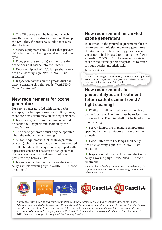• The UV device shall be installed in such a way that the entire extract air volume flows past the UV lights. If necessary, suitable measures shall be taken.

• Safety equipment should exist that prevent UV radiation from having any effect on skin or eyes

• Flow/pressure sensor(s) shall ensure that ozone does not escape into the kitchen

• Hoods equipped with UV lamps shall carry a visible warning sign: "WARNING — UV radiation"

• Inspection hatches on the grease duct shall carry a warning sign that reads: "WARNING — Ozone Treatment"

#### **New requirements for ozone generators**

For ozone generators fed with oxygen (for example, our high-performance RENA system), there are now several new smart requirements.

• Installation, repair and maintenance shall be carried out by personnel trained by the manufacturer

• The ozone generator must only be operated when the exhaust fan is running

• Suitable equipment, such as flow/pressure sensor(s), shall ensure that ozone is not released into the building. If the system is equipped with a pressure sensor, it needs to be set up so that the ozone system is shut down should the pressure drop below 20 Pa

• Inspection hatches on the grease duct must carry a visible warning sign: "WARNING - Ozone Treatment"

#### **New requirement for air-fed ozone generators**

In addition to the general requirements for air treatment technologies and ozone generators, the standard specifies that oxygen-fed ozone generators shall be used for total extract flows exceeding  $2,500 \text{ m}^3/\text{h}$ . The reason for this is that air-fed ozone generators produce to much nitrogen oxides and nitric acid.

*The standard states:* 

NOTE To safe-guard against  $NO_x$  and  $HNO_3$  build-up in the extract air, an oxygen-fed ozone generator will be used for a total extract flow exceeding 2500 m<sup>3</sup>/h.

#### **New requirements for photocatalytic air treatment (often called ozone-free UV light cleaning)**

• F9 filters shall be fitted prior to the photocatalytic system. The filter must be resistant to ozone and UV. The filter shall not be fitted in the hood/ceiling

• For UV lamps, the maximum temperature specified by the manufacturer should not be exceeded

• Hoods fitted with UV lamps shall carry a visible warning sign: "WARNING — UV radiation"

• Inspection hatches on the grease duct must carry a warning sign: "WARNING — ozone treatment"

*Note! As this technology contains both UV and ozone, the requirements for each treatment technology must also be taken into account.*



*E-Prize is Sweden's leading energy prize and Ozonetech was awarded as the winner in October 2017 in the Energy Efficiency category. Seal of Excellence is EU's quality label "for first-class innovation ideas worthy of investment". We were awarded the Seal of Excellence in the spring of 2017. Gazelle companies grow quickly, profitably and organically. We were awarded as a Gazelle Company both in 2016 and 2017. In addition, we received the Pioneer of the Year award in 2015, bestowed on us by H.M. King Carl XVI Gustaf of Sweden.*